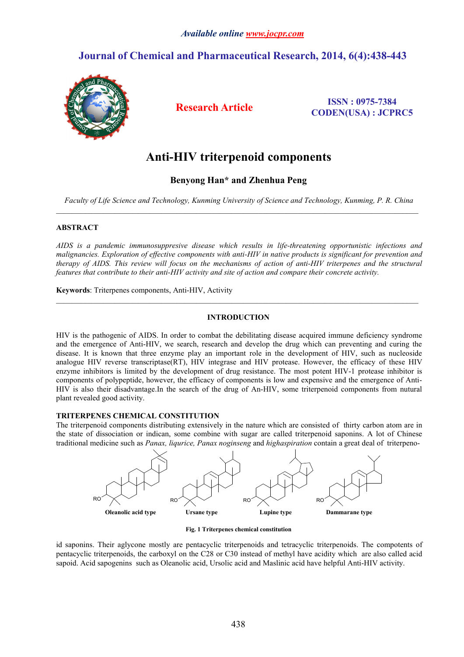# **Journal of Chemical and Pharmaceutical Research, 2014, 6(4):438-443**



**Research Article ISSN : 0975-7384 CODEN(USA) : JCPRC5**

# **Anti-HIV triterpenoid components**

**Benyong Han\* and Zhenhua Peng**

*Faculty of Life Science and Technology, Kunming University of Science and Technology, Kunming, P. R. China*

# **ABSTRACT**

*AIDS is a pandemic immunosuppresive disease which results in life-threatening opportunistic infections and malignancies. Exploration of effective components with anti-HIV in native products is significant for prevention and* therapy of AIDS. This review will focus on the mechanisms of action of anti-HIV triterpenes and the structural *features that contribute to theiranti-HIV activityand site of action and compare their concrete activity.*

**Keywords**: Triterpenes components, Anti-HIV, Activity

# **INTRODUCTION**

 $\_$  , and the state of the state of the state of the state of the state of the state of the state of the state of the state of the state of the state of the state of the state of the state of the state of the state of the

HIV is the pathogenic of AIDS. In order to combat the debilitating disease acquired immune deficiency syndrome and the emergence of Anti-HIV, we search, research and develop the drug which can preventing and curing the disease. It is known that three enzyme play an important role in the development of HIV, such as nucleoside analogue HIV reverse transcriptase(RT), HIV integrase and HIV protease. However, the efficacy of these HIV enzyme inhibitors is limited by the development of drug resistance. The most potent HIV-1 protease inhibitor is components of polypeptide, however, the efficacy of components is low and expensive and the emergence of Anti-HIV is also their disadvantage.In the search of the drug of An-HIV, some triterpenoid components from nutural plant revealed good activity.

## **TRITERPENES CHEMICAL CONSTITUTION**

The triterpenoid components distributing extensively in the nature which are consisted of thirty carbon atom are in the state of dissociation or indican, some combine with sugar are called triterpenoid saponins. A lot of Chinese traditional medicine such as *Panax, liqurice, Panax noginseng* and *highaspiration* contain a great deal of triterpeno-



**Fig. 1 Triterpenes chemical constitution**

id saponins. Their aglycone mostly are pentacyclic triterpenoids and tetracyclic triterpenoids. The compotents of pentacyclic triterpenoids, the carboxyl on the C28 or C30 instead of methylhave acidity which are also called acid sapoid. Acid sapogenins such as Oleanolic acid, Ursolic acid and Maslinic acid have helpful Anti-HIV activity.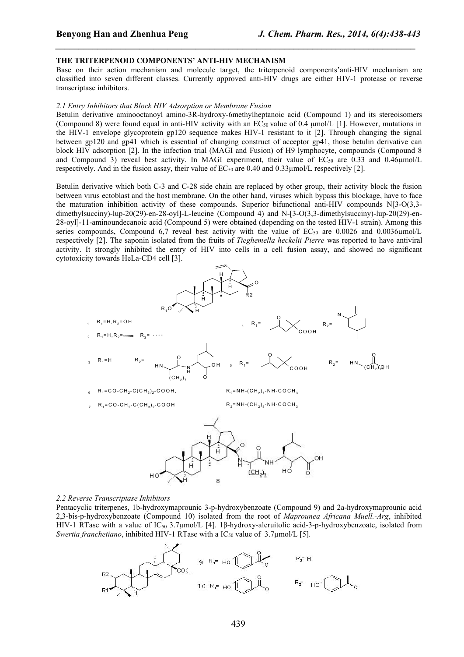## **THE TRITERPENOID COMPONENTS' ANTI-HIV MECHANISM**

Base on their action mechanism and molecule target, the triterpenoid components'anti-HIV mechanism are classified into seven different classes. Currently approved anti-HIV drugs are either HIV-1 protease or reverse transcriptase inhibitors.

*\_\_\_\_\_\_\_\_\_\_\_\_\_\_\_\_\_\_\_\_\_\_\_\_\_\_\_\_\_\_\_\_\_\_\_\_\_\_\_\_\_\_\_\_\_\_\_\_\_\_\_\_\_\_\_\_\_\_\_\_\_\_\_\_\_\_\_\_\_\_\_\_\_\_\_\_\_*

#### *2.1 Entry Inhibitors that Block HIV Adsorption or Membrane Fusion*

Betulin derivative aminooctanoyl amino-3R-hydroxy-6methylheptanoic acid (Compound 1) and its stereoisomers (Compound 8) were found equal in anti-HIV activity with an EC<sup>50</sup> value of 0.4 μmol/L [1]. However, mutations in the HIV-1 envelope glycoprotein gp120 sequence makes HIV-1 resistant to it [2]. Through changing the signal between gp120 and gp41 which is essential of changing construct of acceptor gp41, those betulin derivative can block HIV adsorption [2]. In the infection trial (MAGI and Fusion) of H9 lymphocyte, compounds (Compound 8 and Compound 3) reveal best activity. In MAGI experiment, their value of  $EC_{50}$  are 0.33 and 0.46 $\mu$ mol/L respectively. And in the fusion assay, their value of  $EC_{50}$  are 0.40 and 0.33µmol/L respectively [2].

Betulin derivative which both C-3 and C-28 side chain are replaced by other group, their activity block the fusion between virus ectoblast and the host membrane. On the other hand, viruses which bypass this blockage, have to face the maturation inhibition activity of these compounds. Superior bifunctional anti-HIV compounds N[3-O(3,3 dimethylsucciny)-lup-20(29)-en-28-oyl]-L-leucine (Compound 4) and N-[3-O(3,3-dimethylsucciny)-lup-20(29)-en-28-oyl]-11-aminoundecanoic acid (Compound 5) were obtained (depending on the tested HIV-1 strain). Among this series compounds, Compound 6,7 reveal best activity with the value of  $EC_{50}$  are 0.0026 and 0.0036 $\mu$ mol/L respectively [2]. The saponin isolated from the fruits of *Tieghemella heckelii Pierre* was reported to have antiviral activity. It strongly inhibited the entry of HIV into cells in a cell fusion assay, and showed no significant cytotoxicity towards HeLa-CD4 cell [3].



#### *2.2 Reverse Transcriptase Inhibitors*

Pentacyclic triterpenes, 1b-hydroxymaprounic 3-p-hydroxybenzoate (Compound 9) and 2a-hydroxymaprounic acid 2,3-bis-p-hydroxybenzoate (Compound 10) isolated from the root of *Maprounea Africana Muell.-Arg*, inhibited HIV-1 RTase with a value of IC<sub>50</sub> 3.7μmol/L [4]. 1β-hydroxy-aleruitolic acid-3-p-hydroxybenzoate, isolated from *Swertia franchetiano*, inhibited HIV-1 RTase with a IC<sup>50</sup> value of 3.7µmol/L [5].

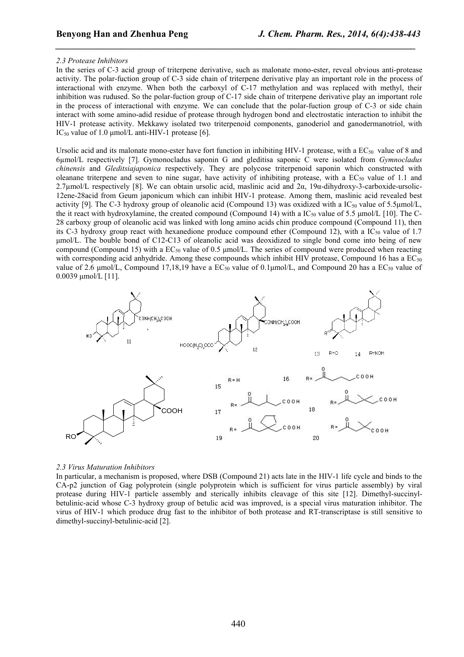## *2.3 Protease Inhibitors*

In the series of C-3 acid group of triterpene derivative, such as malonate mono-ester, reveal obvious anti-protease activity. The polar-fuction group of C-3 side chain of triterpene derivative play an important role in the process of interactional with enzyme. When both the carboxyl of C-17 methylation and was replaced with methyl, their inhibition was rudused. So the polar-fuction group of C-17 side chain of triterpene derivative play an important role in the process of interactional with enzyme. We can conclude that the polar-fuction group of C-3 or side chain interact with some amino-adid residue of protease through hydrogen bond and electrostatic interaction to inhibit the HIV-1 protease activity. Mekkawy isolated two triterpenoid components, ganoderiol and ganodermanotriol, with IC<sub>50</sub> value of 1.0  $\mu$ mol/L anti-HIV-1 protease [6].

*\_\_\_\_\_\_\_\_\_\_\_\_\_\_\_\_\_\_\_\_\_\_\_\_\_\_\_\_\_\_\_\_\_\_\_\_\_\_\_\_\_\_\_\_\_\_\_\_\_\_\_\_\_\_\_\_\_\_\_\_\_\_\_\_\_\_\_\_\_\_\_\_\_\_\_\_\_*

Ursolic acid and its malonate mono-ester have fort function in inhibiting HIV-1 protease, with a  $EC_{50}$  value of 8 and 6µmol/L respectively [7]. Gymonocladus saponin G and gleditisa saponic C were isolated from *Gymnocladus chinensis* and *Gleditsiajaponica* respectively. They are polycose triterpenoid saponin which constructed with oleanane triterpene and seven to nine sugar, have activity of inhibiting protease, with a  $EC_{50}$  value of 1.1 and 2.7µmol/L respectively [8]. We can obtain ursolic acid, maslinic acid and 2α, 19α-dihydroxy-3-carboxide-ursolic-12ene-28acid from Geum japonicum which can inhibit HIV-1 protease. Among them, maslinic acid revealed best activity [9]. The C-3 hydroxy group of oleanolic acid (Compound 13) was oxidized with a  $IC_{50}$  value of 5.5 μmol/L, the it react with hydroxylamine, the created compound (Compound 14) with a IC<sub>50</sub> value of 5.5 μmol/L [10]. The C-28 carboxy group of oleanolic acid was linked with long amino acids chin produce compound (Compound 11), then its C-3 hydroxy group react with hexanedione produce compound ether (Compound 12), with a  $IC_{50}$  value of 1.7 μmol/L. The bouble bond of C12-C13 of oleanolic acid was deoxidized to single bond come into being of new compound (Compound 15) with a  $EC_{50}$  value of 0.5  $\mu$ mol/L. The series of compound were produced when reacting with corresponding acid anhydride. Among these compounds which inhibit HIV protease, Compound 16 has a  $EC_{50}$ value of 2.6 μmol/L, Compound 17,18,19 have a  $EC<sub>50</sub>$  value of 0.1 μmol/L, and Compound 20 has a  $EC<sub>50</sub>$  value of 0.0039 μmol/L [11].



## *2.3 Virus Maturation Inhibitors*

In particular, a mechanism is proposed, where DSB (Compound 21) acts late in the HIV-1 life cycle and binds to the CA-p2 junction of Gag polyprotein (single polyprotein which is sufficient for virus particle assembly) by viral protease during HIV-1 particle assembly and sterically inhibits cleavage of this site [12]. Dimethyl-succinylbetulinic-acid whose C-3 hydroxy group of betulic acid was improved, is a special virus maturation inhibitor. The virus of HIV-1 which produce drug fast to the inhibitor of both protease and RT-transcriptase isstill sensitive to dimethyl-succinyl-betulinic-acid [2].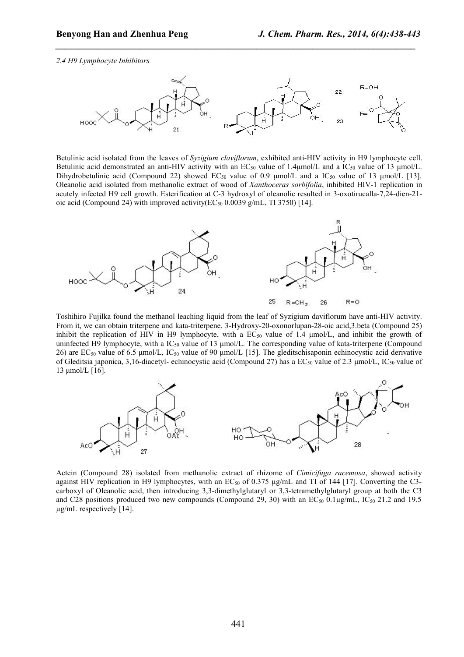#### *2.4 H9 Lymphocyte Inhibitors*



*\_\_\_\_\_\_\_\_\_\_\_\_\_\_\_\_\_\_\_\_\_\_\_\_\_\_\_\_\_\_\_\_\_\_\_\_\_\_\_\_\_\_\_\_\_\_\_\_\_\_\_\_\_\_\_\_\_\_\_\_\_\_\_\_\_\_\_\_\_\_\_\_\_\_\_\_\_*

Betulinic acid isolated from the leaves of *Syzigium claviflorum*, exhibited anti-HIV activity in H9 lymphocyte cell. Betulinic acid demonstrated an anti-HIV activity with an EC<sub>50</sub> value of 1.4 $\mu$ mol/L and a IC<sub>50</sub> value of 13  $\mu$ mol/L. Dihydrobetulinic acid (Compound 22) showed EC<sub>50</sub> value of 0.9 μmol/L and a IC<sub>50</sub> value of 13 μmol/L [13]. Oleanolic acid isolated from methanolic extract of wood of *Xanthoceras sorbifolia*, inhibited HIV-1 replication in acutely infected H9 cell growth. Esterification at C-3 hydroxyl of oleanolic resulted in 3-oxotirucalla-7,24-dien-21 oic acid (Compound 24) with improved activity( $EC_{50}$  0.0039 g/mL, TI 3750) [14].



Toshihiro Fujilka found the methanol leaching liquid from the leaf of Syzigium daviflorum have anti-HIV activity. From it, we can obtain triterpene and kata-triterpene. 3-Hydroxy-20-oxonorlupan-28-oic acid,3.beta (Compound 25) inhibit the replication of HIV in H9 lymphocyte, with a  $EC_{50}$  value of 1.4  $\mu$ mol/L, and inhibit the growth of uninfected H9 lymphocyte, with a IC<sub>50</sub> value of 13 µmol/L. The corresponding value of kata-triterpene (Compound 26) are EC<sub>50</sub> value of 6.5 μmol/L, IC<sub>50</sub> value of 90 μmol/L [15]. The gleditschisaponin echinocystic acid derivative of Gleditsia japonica, 3,16-diacetyl- echinocystic acid (Compound 27) has a  $EC_{50}$  value of 2.3 µmol/L,  $IC_{50}$  value of 13 μmol/L [16].



Actein (Compound 28) isolated from methanolic extract of rhizome of *Cimicifuga racemosa*, showed activity against HIV replication in H9 lymphocytes, with an EC<sub>50</sub> of 0.375 µg/mL and TI of 144 [17]. Converting the C3carboxyl of Oleanolic acid, then introducing 3,3-dimethylglutaryl or 3,3-tetramethylglutaryl group at both the C3 and C28 positions produced two new compounds (Compound 29, 30) with an EC<sub>50</sub> 0.1 $\mu$ g/mL, IC<sub>50</sub> 21.2 and 19.5 µg/mL respectively [14].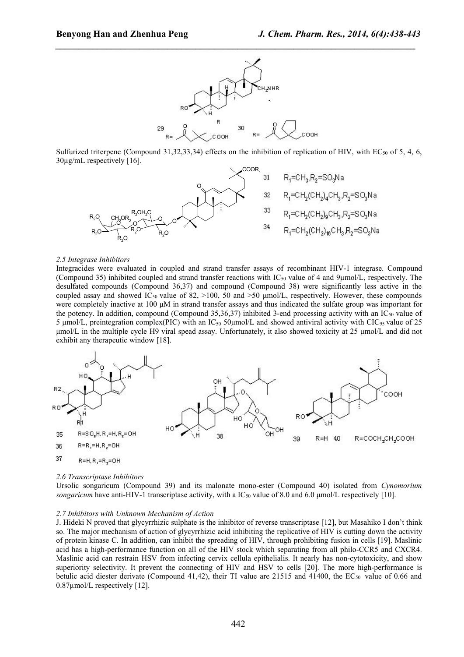

*\_\_\_\_\_\_\_\_\_\_\_\_\_\_\_\_\_\_\_\_\_\_\_\_\_\_\_\_\_\_\_\_\_\_\_\_\_\_\_\_\_\_\_\_\_\_\_\_\_\_\_\_\_\_\_\_\_\_\_\_\_\_\_\_\_\_\_\_\_\_\_\_\_\_\_\_\_*

Sulfurized triterpene (Compound 31,32,33,34) effects on the inhibition of replication of HIV, with EC<sub>50</sub> of 5, 4, 6, 30µg/mL respectively [16].



## *2.5 Integrase Inhibitors*

Integracides were evaluated in coupled and strand transfer assays of recombinant HIV-1 integrase. Compound (Compound 35) inhibited coupled and strand transfer reactions with IC<sup>50</sup> value of 4 and 9µmol/L, respectively. The desulfated compounds (Compound 36,37) and compound (Compound 38) were significantly less active in the coupled assay and showed IC<sub>50</sub> value of 82,  $>100$ , 50 and  $>50$  umol/L, respectively. However, these compounds were completely inactive at 100 μΜ in strand transfer assays and thus indicated the sulfate group was important for the potency. In addition, compound (Compound 35,36,37) inhibited 3-end processing activity with an  $IC_{50}$  value of 5 μmol/L, preintegration complex(PIC) with an  $IC_{50}$  50 μmol/L and showed antiviral activity with CIC<sub>95</sub> value of 25 μmol/L in the multiple cycle H9 viral spead assay. Unfortunately, it also showed toxicity at 25 μmol/L and did not exhibit any therapeutic window [18].



#### *2.6 Transcriptase Inhibitors*

Ursolic songaricum (Compound 39) and its malonate mono-ester (Compound 40) isolated from *Cynomorium songaricum* have anti-HIV-1 transcriptase activity, with a IC<sub>50</sub> value of 8.0 and 6.0 μmol/L respectively [10].

### *2.7 Inhibitors with Unknown Mechanism of Action*

J. Hideki N proved that glycyrrhizic sulphate is the inhibitor of reverse transcriptase [12], but Masahiko I don't think so. The major mechanism of action of glycyrrhizic acid inhibiting the replicative of HIV is cutting down the activity of protein kinase C. In addition, can inhibit the spreading of HIV, through prohibiting fusion in cells[19]. Maslinic acid has a high-performance function on all of the HIV stock which separating from all philo-CCR5 and CXCR4. Maslinic acid can restrain HSV from infecting cervix cellula epithelialis. It nearly has non-cytotoxicity, and show superiority selectivity. It prevent the connecting of HIV and HSV to cells [20]. The more high-performance is betulic acid diester derivate (Compound 41,42), their TI value are 21515 and 41400, the  $EC_{50}$  value of 0.66 and 0.87µmol/L respectively [12].